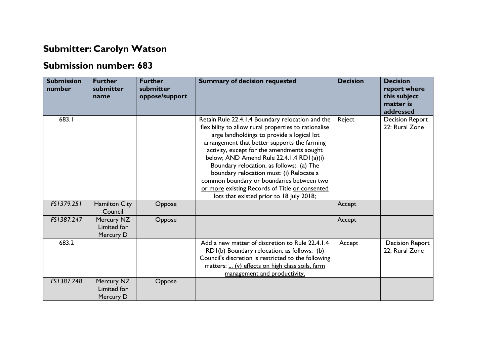## **Submitter: Carolyn Watson**

## **Submission number: 683**

| <b>Submission</b><br>number | <b>Further</b><br>submitter<br>name    | <b>Further</b><br>submitter<br>oppose/support | <b>Summary of decision requested</b>                                                                                                                                                                                                                                                                                                                                                                                                                                                                                                 | <b>Decision</b> | <b>Decision</b><br>report where<br>this subject<br>matter is<br>addressed |
|-----------------------------|----------------------------------------|-----------------------------------------------|--------------------------------------------------------------------------------------------------------------------------------------------------------------------------------------------------------------------------------------------------------------------------------------------------------------------------------------------------------------------------------------------------------------------------------------------------------------------------------------------------------------------------------------|-----------------|---------------------------------------------------------------------------|
| 683.I                       |                                        |                                               | Retain Rule 22.4.1.4 Boundary relocation and the<br>flexibility to allow rural properties to rationalise<br>large landholdings to provide a logical lot<br>arrangement that better supports the farming<br>activity, except for the amendments sought<br>below; AND Amend Rule 22.4.1.4 RD1(a)(i)<br>Boundary relocation, as follows: (a) The<br>boundary relocation must: (i) Relocate a<br>common boundary or boundaries between two<br>or more existing Records of Title or consented<br>lots that existed prior to 18 July 2018; | Reject          | <b>Decision Report</b><br>22: Rural Zone                                  |
| FS1379.251                  | <b>Hamilton City</b><br>Council        | Oppose                                        |                                                                                                                                                                                                                                                                                                                                                                                                                                                                                                                                      | Accept          |                                                                           |
| FS1387.247                  | Mercury NZ<br>Limited for<br>Mercury D | Oppose                                        |                                                                                                                                                                                                                                                                                                                                                                                                                                                                                                                                      | Accept          |                                                                           |
| 683.2                       |                                        |                                               | Add a new matter of discretion to Rule 22.4.1.4<br>RD1(b) Boundary relocation, as follows: (b)<br>Council's discretion is restricted to the following<br>matters:  (v) effects on high class soils, farm<br>management and productivity.                                                                                                                                                                                                                                                                                             | Accept          | <b>Decision Report</b><br>22: Rural Zone                                  |
| FS1387.248                  | Mercury NZ<br>Limited for<br>Mercury D | Oppose                                        |                                                                                                                                                                                                                                                                                                                                                                                                                                                                                                                                      |                 |                                                                           |